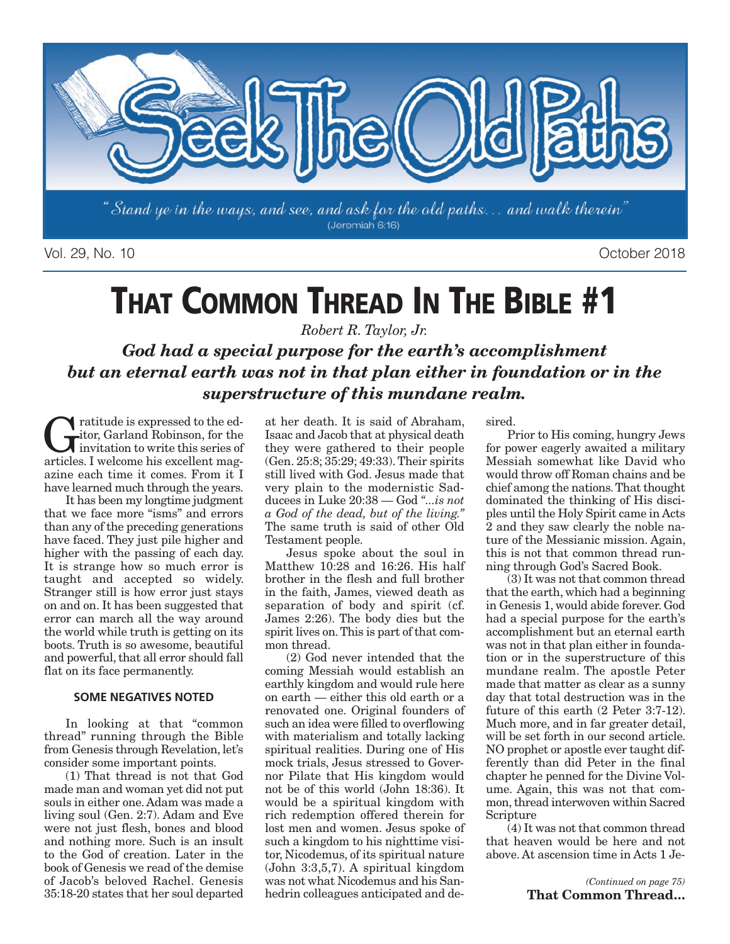

Vol. 29, No. 10 October 2018

# **THAT COMMON THREAD IN THE BIBLE #1**

*Robert R. Taylor, Jr.*

*God had a special purpose for the earth's accomplishment but an eternal earth was not in that plan either in foundation or in the superstructure of this mundane realm.* 

Tratitude is expressed to the ed-<br>itor, Garland Robinson, for the<br>invitation to write this series of<br>articles I welcome his excellent manitor, Garland Robinson, for the invitation to write this series of articles. I welcome his excellent magazine each time it comes. From it I have learned much through the years.

It has been my longtime judgment that we face more "isms" and errors than any of the preceding generations have faced. They just pile higher and higher with the passing of each day. It is strange how so much error is taught and accepted so widely. Stranger still is how error just stays on and on. It has been suggested that error can march all the way around the world while truth is getting on its boots. Truth is so awesome, beautiful and powerful, that all error should fall flat on its face permanently.

#### **SOME NEGATIVES NOTED**

In looking at that "common thread" running through the Bible from Genesis through Revelation, let's consider some important points.

(1) That thread is not that God made man and woman yet did not put souls in either one. Adam was made a living soul (Gen. 2:7). Adam and Eve were not just flesh, bones and blood and nothing more. Such is an insult to the God of creation. Later in the book of Genesis we read of the demise of Jacob's beloved Rachel. Genesis 35:18-20 states that her soul departed

at her death. It is said of Abraham, Isaac and Jacob that at physical death they were gathered to their people (Gen. 25:8; 35:29; 49:33). Their spirits still lived with God. Jesus made that very plain to the modernistic Sadducees in Luke 20:38 — God *"...is not a God of the dead, but of the living."* The same truth is said of other Old Testament people.

Jesus spoke about the soul in Matthew 10:28 and 16:26. His half brother in the flesh and full brother in the faith, James, viewed death as separation of body and spirit (cf. James 2:26). The body dies but the spirit lives on. This is part of that common thread.

(2) God never intended that the coming Messiah would establish an earthly kingdom and would rule here on earth — either this old earth or a renovated one. Original founders of such an idea were filled to overflowing with materialism and totally lacking spiritual realities. During one of His mock trials, Jesus stressed to Governor Pilate that His kingdom would not be of this world (John 18:36). It would be a spiritual kingdom with rich redemption offered therein for lost men and women. Jesus spoke of such a kingdom to his nighttime visitor, Nicodemus, of its spiritual nature (John 3:3,5,7). A spiritual kingdom was not what Nicodemus and his Sanhedrin colleagues anticipated and desired.

Prior to His coming, hungry Jews for power eagerly awaited a military Messiah somewhat like David who would throw off Roman chains and be chief among the nations. That thought dominated the thinking of His disciples until the Holy Spirit came in Acts 2 and they saw clearly the noble nature of the Messianic mission. Again, this is not that common thread running through God's Sacred Book.

(3) It was not that common thread that the earth, which had a beginning in Genesis 1, would abide forever. God had a special purpose for the earth's accomplishment but an eternal earth was not in that plan either in foundation or in the superstructure of this mundane realm. The apostle Peter made that matter as clear as a sunny day that total destruction was in the future of this earth (2 Peter 3:7-12). Much more, and in far greater detail, will be set forth in our second article. NO prophet or apostle ever taught differently than did Peter in the final chapter he penned for the Divine Volume. Again, this was not that common, thread interwoven within Sacred Scripture

(4) It was not that common thread that heaven would be here and not above. At ascension time in Acts 1 Je-

> *(Continued on page 75)*  **That Common Thread…**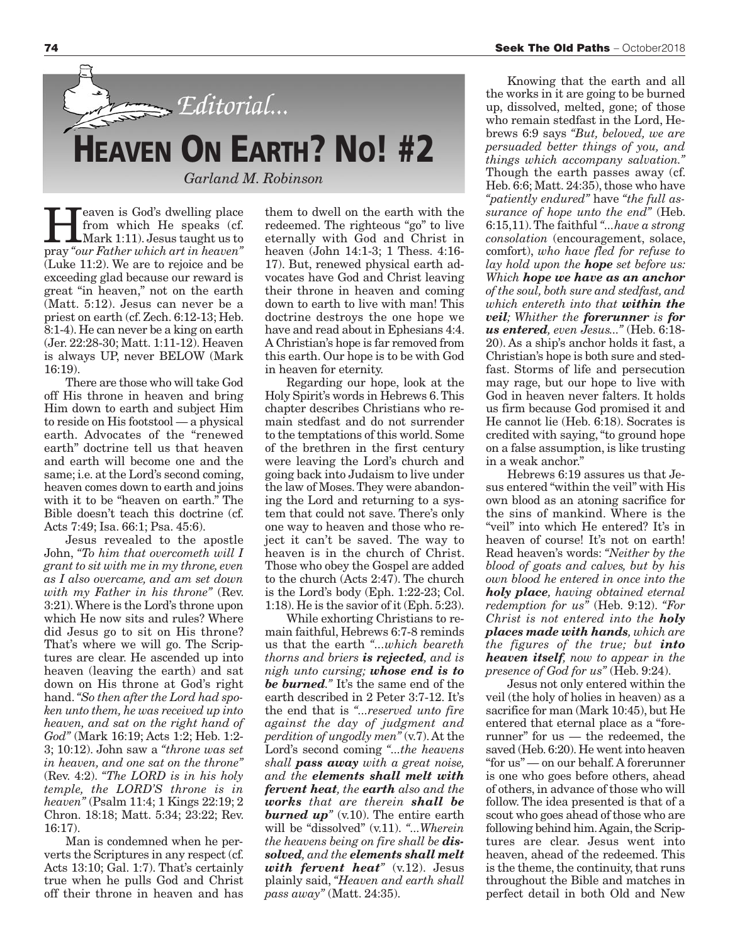

Feaven is God's dwelling place<br>from which He speaks (cf.<br>Mark 1:11). Jesus taught us to<br>pray "our Esther which art in heaven" from which He speaks (cf. Mark 1:11). Jesus taught us to pray *"our Father which art in heaven"* (Luke 11:2). We are to rejoice and be exceeding glad because our reward is great "in heaven," not on the earth (Matt. 5:12). Jesus can never be a priest on earth (cf. Zech. 6:12-13; Heb. 8:1-4). He can never be a king on earth (Jer. 22:28-30; Matt. 1:11-12). Heaven is always UP, never BELOW (Mark 16:19).

There are those who will take God off His throne in heaven and bring Him down to earth and subject Him to reside on His footstool — a physical earth. Advocates of the "renewed earth" doctrine tell us that heaven and earth will become one and the same; i.e. at the Lord's second coming, heaven comes down to earth and joins with it to be "heaven on earth." The Bible doesn't teach this doctrine (cf. Acts 7:49; Isa. 66:1; Psa. 45:6).

Jesus revealed to the apostle John, *"To him that overcometh will I grant to sit with me in my throne, even as I also overcame, and am set down with my Father in his throne"* (Rev. 3:21). Where is the Lord's throne upon which He now sits and rules? Where did Jesus go to sit on His throne? That's where we will go. The Scriptures are clear. He ascended up into heaven (leaving the earth) and sat down on His throne at God's right hand. *"So then after the Lord had spoken unto them, he was received up into heaven, and sat on the right hand of God"* (Mark 16:19; Acts 1:2; Heb. 1:2- 3; 10:12). John saw a *"throne was set in heaven, and one sat on the throne"* (Rev. 4:2). *"The LORD is in his holy temple, the LORD'S throne is in heaven"* (Psalm 11:4; 1 Kings 22:19; 2 Chron. 18:18; Matt. 5:34; 23:22; Rev. 16:17).

Man is condemned when he perverts the Scriptures in any respect (cf. Acts 13:10; Gal. 1:7). That's certainly true when he pulls God and Christ off their throne in heaven and has them to dwell on the earth with the redeemed. The righteous "go" to live eternally with God and Christ in heaven (John 14:1-3; 1 Thess. 4:16- 17). But, renewed physical earth advocates have God and Christ leaving their throne in heaven and coming down to earth to live with man! This doctrine destroys the one hope we have and read about in Ephesians 4:4. A Christian's hope is far removed from this earth. Our hope is to be with God in heaven for eternity.

Regarding our hope, look at the Holy Spirit's words in Hebrews 6. This chapter describes Christians who remain stedfast and do not surrender to the temptations of this world. Some of the brethren in the first century were leaving the Lord's church and going back into Judaism to live under the law of Moses. They were abandoning the Lord and returning to a system that could not save. There's only one way to heaven and those who reject it can't be saved. The way to heaven is in the church of Christ. Those who obey the Gospel are added to the church (Acts 2:47). The church is the Lord's body (Eph. 1:22-23; Col. 1:18). He is the savior of it (Eph. 5:23).

While exhorting Christians to remain faithful, Hebrews 6:7-8 reminds us that the earth *"...which beareth thorns and briers is rejected, and is nigh unto cursing; whose end is to be burned."* It's the same end of the earth described in 2 Peter 3:7-12. It's the end that is *"...reserved unto fire against the day of judgment and perdition of ungodly men"* (v.7). At the Lord's second coming *"...the heavens shall pass away with a great noise, and the elements shall melt with fervent heat, the earth also and the works that are therein shall be burned up"* (v.10). The entire earth will be "dissolved" (v.11). *"...Wherein the heavens being on fire shall be dissolved, and the elements shall melt with fervent heat"* (v.12). Jesus plainly said, *"Heaven and earth shall pass away"* (Matt. 24:35).

Knowing that the earth and all the works in it are going to be burned up, dissolved, melted, gone; of those who remain stedfast in the Lord, Hebrews 6:9 says *"But, beloved, we are persuaded better things of you, and things which accompany salvation."* Though the earth passes away (cf. Heb. 6:6; Matt. 24:35), those who have *"patiently endured"* have *"the full assurance of hope unto the end"* (Heb. 6:15,11). The faithful *"...have a strong consolation* (encouragement, solace, comfort), *who have fled for refuse to lay hold upon the hope set before us: Which hope we have as an anchor of the soul, both sure and stedfast, and which entereth into that within the veil; Whither the forerunner is for us entered, even Jesus..."* (Heb. 6:18- 20). As a ship's anchor holds it fast, a Christian's hope is both sure and stedfast. Storms of life and persecution may rage, but our hope to live with God in heaven never falters. It holds us firm because God promised it and He cannot lie (Heb. 6:18). Socrates is credited with saying, "to ground hope on a false assumption, is like trusting in a weak anchor."

Hebrews 6:19 assures us that Jesus entered "within the veil" with His own blood as an atoning sacrifice for the sins of mankind. Where is the "veil" into which He entered? It's in heaven of course! It's not on earth! Read heaven's words: *"Neither by the blood of goats and calves, but by his own blood he entered in once into the holy place, having obtained eternal redemption for us"* (Heb. 9:12). *"For Christ is not entered into the holy places made with hands, which are the figures of the true; but into heaven itself, now to appear in the presence of God for us"* (Heb. 9:24).

Jesus not only entered within the veil (the holy of holies in heaven) as a sacrifice for man (Mark 10:45), but He entered that eternal place as a "forerunner" for us — the redeemed, the saved (Heb. 6:20). He went into heaven "for us" — on our behalf. A forerunner is one who goes before others, ahead of others, in advance of those who will follow. The idea presented is that of a scout who goes ahead of those who are following behind him. Again, the Scriptures are clear. Jesus went into heaven, ahead of the redeemed. This is the theme, the continuity, that runs throughout the Bible and matches in perfect detail in both Old and New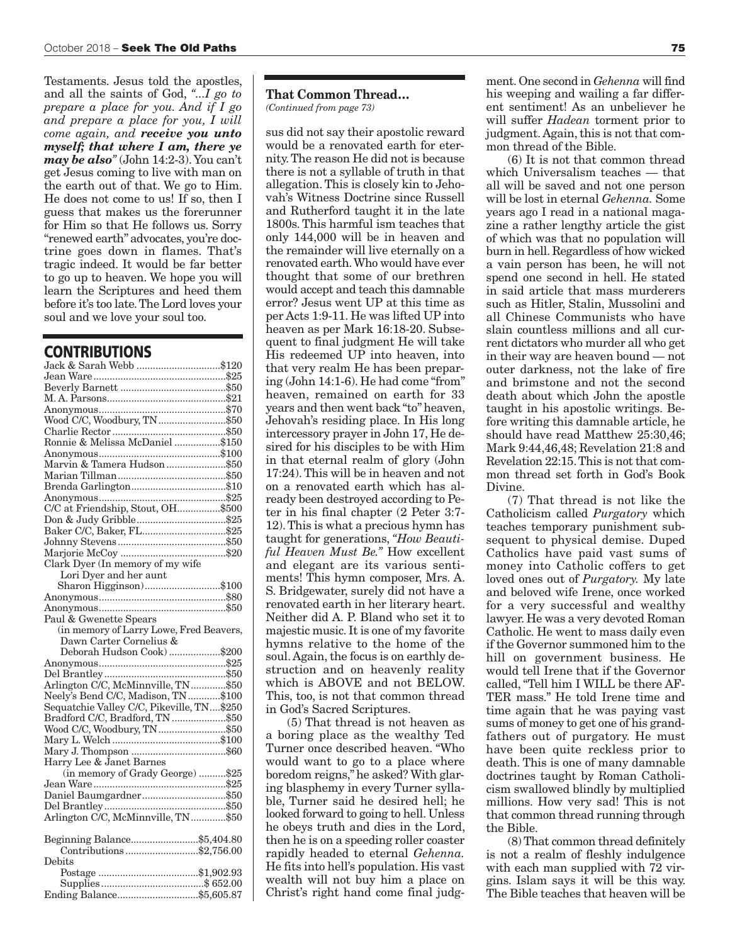Testaments. Jesus told the apostles, and all the saints of God, *"...I go to prepare a place for you. And if I go and prepare a place for you, I will come again, and receive you unto myself; that where I am, there ye may be also"* (John 14:2-3). You can't get Jesus coming to live with man on the earth out of that. We go to Him. He does not come to us! If so, then I guess that makes us the forerunner for Him so that He follows us. Sorry "renewed earth" advocates, you're doctrine goes down in flames. That's tragic indeed. It would be far better to go up to heaven. We hope you will learn the Scriptures and heed them before it's too late. The Lord loves your soul and we love your soul too.

#### **CONTRIBUTIONS**

| Jack & Sarah Webb \$120                                                  |  |
|--------------------------------------------------------------------------|--|
|                                                                          |  |
|                                                                          |  |
|                                                                          |  |
|                                                                          |  |
| Wood C/C, Woodbury, TN \$50                                              |  |
|                                                                          |  |
| Ronnie & Melissa McDaniel \$150                                          |  |
|                                                                          |  |
| Marvin & Tamera Hudson\$50                                               |  |
|                                                                          |  |
|                                                                          |  |
|                                                                          |  |
| C/C at Friendship, Stout, OH\$500                                        |  |
|                                                                          |  |
| Baker C/C, Baker, FL\$25                                                 |  |
|                                                                          |  |
|                                                                          |  |
| Clark Dyer (In memory of my wife                                         |  |
| Lori Dyer and her aunt                                                   |  |
| Sharon Higginson)\$100                                                   |  |
|                                                                          |  |
|                                                                          |  |
| Paul & Gwenette Spears                                                   |  |
| (in memory of Larry Lowe, Fred Beavers,                                  |  |
|                                                                          |  |
|                                                                          |  |
| Dawn Carter Cornelius &                                                  |  |
| Deborah Hudson Cook) \$200                                               |  |
|                                                                          |  |
|                                                                          |  |
|                                                                          |  |
| Arlington C/C, McMinnville, TN\$50<br>Neely's Bend C/C, Madison, TN\$100 |  |
| Sequatchie Valley C/C, Pikeville, TN\$250                                |  |
| Bradford C/C, Bradford, TN \$50                                          |  |
| Wood C/C, Woodbury, TN \$50                                              |  |
|                                                                          |  |
| Harry Lee & Janet Barnes                                                 |  |
|                                                                          |  |
| (in memory of Grady George)  \$25                                        |  |
|                                                                          |  |
| Daniel Baumgardner\$50                                                   |  |
| Arlington C/C, McMinnville, TN\$50                                       |  |
|                                                                          |  |
| Beginning Balance\$5,404.80                                              |  |
| Contributions\$2,756.00<br>Debits                                        |  |
|                                                                          |  |
|                                                                          |  |

#### **That Common Thread…** *(Continued from page 73)*

sus did not say their apostolic reward would be a renovated earth for eternity. The reason He did not is because there is not a syllable of truth in that allegation. This is closely kin to Jehovah's Witness Doctrine since Russell and Rutherford taught it in the late 1800s. This harmful ism teaches that only 144,000 will be in heaven and the remainder will live eternally on a renovated earth. Who would have ever thought that some of our brethren would accept and teach this damnable error? Jesus went UP at this time as per Acts 1:9-11. He was lifted UP into heaven as per Mark 16:18-20. Subsequent to final judgment He will take His redeemed UP into heaven, into that very realm He has been preparing (John 14:1-6). He had come "from" heaven, remained on earth for 33 years and then went back "to" heaven, Jehovah's residing place. In His long intercessory prayer in John 17, He desired for his disciples to be with Him in that eternal realm of glory (John 17:24). This will be in heaven and not on a renovated earth which has already been destroyed according to Peter in his final chapter (2 Peter 3:7- 12). This is what a precious hymn has taught for generations, *"How Beautiful Heaven Must Be."* How excellent and elegant are its various sentiments! This hymn composer, Mrs. A. S. Bridgewater, surely did not have a renovated earth in her literary heart. Neither did A. P. Bland who set it to majestic music. It is one of my favorite hymns relative to the home of the soul. Again, the focus is on earthly destruction and on heavenly reality which is ABOVE and not BELOW. This, too, is not that common thread in God's Sacred Scriptures.

(5) That thread is not heaven as a boring place as the wealthy Ted Turner once described heaven. "Who would want to go to a place where boredom reigns," he asked? With glaring blasphemy in every Turner syllable, Turner said he desired hell; he looked forward to going to hell. Unless he obeys truth and dies in the Lord, then he is on a speeding roller coaster rapidly headed to eternal *Gehenna.* He fits into hell's population. His vast wealth will not buy him a place on Christ's right hand come final judg-

ment. One second in *Gehenna* will find his weeping and wailing a far different sentiment! As an unbeliever he will suffer *Hadean* torment prior to judgment. Again, this is not that common thread of the Bible.

(6) It is not that common thread which Universalism teaches — that all will be saved and not one person will be lost in eternal *Gehenna.* Some years ago I read in a national magazine a rather lengthy article the gist of which was that no population will burn in hell. Regardless of how wicked a vain person has been, he will not spend one second in hell. He stated in said article that mass murderers such as Hitler, Stalin, Mussolini and all Chinese Communists who have slain countless millions and all current dictators who murder all who get in their way are heaven bound — not outer darkness, not the lake of fire and brimstone and not the second death about which John the apostle taught in his apostolic writings. Before writing this damnable article, he should have read Matthew 25:30,46; Mark 9:44,46,48; Revelation 21:8 and Revelation 22:15. This is not that common thread set forth in God's Book Divine.

(7) That thread is not like the Catholicism called *Purgatory* which teaches temporary punishment subsequent to physical demise. Duped Catholics have paid vast sums of money into Catholic coffers to get loved ones out of *Purgatory.* My late and beloved wife Irene, once worked for a very successful and wealthy lawyer. He was a very devoted Roman Catholic. He went to mass daily even if the Governor summoned him to the hill on government business. He would tell Irene that if the Governor called, "Tell him I WILL be there AF-TER mass." He told Irene time and time again that he was paying vast sums of money to get one of his grandfathers out of purgatory. He must have been quite reckless prior to death. This is one of many damnable doctrines taught by Roman Catholicism swallowed blindly by multiplied millions. How very sad! This is not that common thread running through the Bible.

(8) That common thread definitely is not a realm of fleshly indulgence with each man supplied with 72 virgins. Islam says it will be this way. The Bible teaches that heaven will be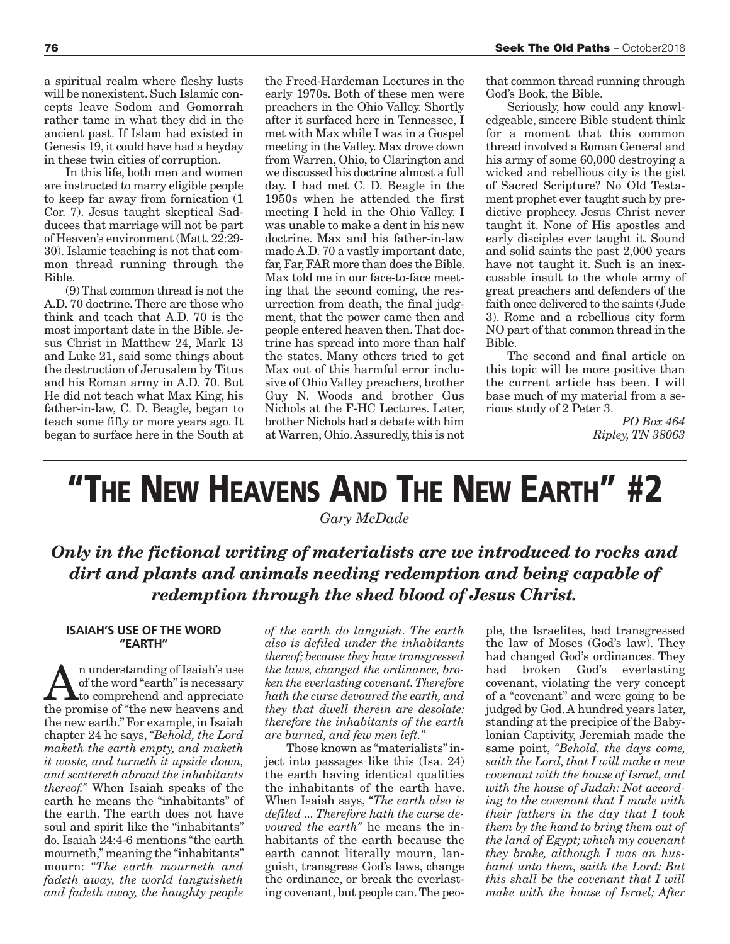a spiritual realm where fleshy lusts will be nonexistent. Such Islamic concepts leave Sodom and Gomorrah rather tame in what they did in the ancient past. If Islam had existed in Genesis 19, it could have had a heyday in these twin cities of corruption.

In this life, both men and women are instructed to marry eligible people to keep far away from fornication (1 Cor. 7). Jesus taught skeptical Sadducees that marriage will not be part of Heaven's environment (Matt. 22:29- 30). Islamic teaching is not that common thread running through the Bible.

(9) That common thread is not the A.D. 70 doctrine. There are those who think and teach that A.D. 70 is the most important date in the Bible. Jesus Christ in Matthew 24, Mark 13 and Luke 21, said some things about the destruction of Jerusalem by Titus and his Roman army in A.D. 70. But He did not teach what Max King, his father-in-law, C. D. Beagle, began to teach some fifty or more years ago. It began to surface here in the South at the Freed-Hardeman Lectures in the early 1970s. Both of these men were preachers in the Ohio Valley. Shortly after it surfaced here in Tennessee, I met with Max while I was in a Gospel meeting in the Valley. Max drove down from Warren, Ohio, to Clarington and we discussed his doctrine almost a full day. I had met C. D. Beagle in the 1950s when he attended the first meeting I held in the Ohio Valley. I was unable to make a dent in his new doctrine. Max and his father-in-law made A.D. 70 a vastly important date, far, Far, FAR more than does the Bible. Max told me in our face-to-face meeting that the second coming, the resurrection from death, the final judgment, that the power came then and people entered heaven then. That doctrine has spread into more than half the states. Many others tried to get Max out of this harmful error inclusive of Ohio Valley preachers, brother Guy N. Woods and brother Gus Nichols at the F-HC Lectures. Later, brother Nichols had a debate with him at Warren, Ohio. Assuredly, this is not that common thread running through God's Book, the Bible.

Seriously, how could any knowledgeable, sincere Bible student think for a moment that this common thread involved a Roman General and his army of some 60,000 destroying a wicked and rebellious city is the gist of Sacred Scripture? No Old Testament prophet ever taught such by predictive prophecy. Jesus Christ never taught it. None of His apostles and early disciples ever taught it. Sound and solid saints the past 2,000 years have not taught it. Such is an inexcusable insult to the whole army of great preachers and defenders of the faith once delivered to the saints (Jude 3). Rome and a rebellious city form NO part of that common thread in the Bible.

The second and final article on this topic will be more positive than the current article has been. I will base much of my material from a serious study of 2 Peter 3.

> *PO Box 464 Ripley, TN 38063*

## **"THE NEW HEAVENS AND THE NEW EARTH" #2**

*Gary McDade* 

### *Only in the fictional writing of materialists are we introduced to rocks and dirt and plants and animals needing redemption and being capable of redemption through the shed blood of Jesus Christ.*

#### **ISAIAH'S USE OF THE WORD "EARTH"**

**A**n understanding of Isaiah's use<br>of the word "earth" is necessary<br>the promise of "the now begyons and of the word "earth" is necessary the promise of "the new heavens and the new earth." For example, in Isaiah chapter 24 he says, *"Behold, the Lord maketh the earth empty, and maketh it waste, and turneth it upside down, and scattereth abroad the inhabitants thereof."* When Isaiah speaks of the earth he means the "inhabitants" of the earth. The earth does not have soul and spirit like the "inhabitants" do. Isaiah 24:4-6 mentions "the earth mourneth," meaning the "inhabitants" mourn: *"The earth mourneth and fadeth away, the world languisheth and fadeth away, the haughty people*

*of the earth do languish. The earth also is defiled under the inhabitants thereof; because they have transgressed the laws, changed the ordinance, broken the everlasting covenant. Therefore hath the curse devoured the earth, and they that dwell therein are desolate: therefore the inhabitants of the earth are burned, and few men left."*

Those known as "materialists" inject into passages like this (Isa. 24) the earth having identical qualities the inhabitants of the earth have. When Isaiah says, *"The earth also is defiled ... Therefore hath the curse devoured the earth"* he means the inhabitants of the earth because the earth cannot literally mourn, languish, transgress God's laws, change the ordinance, or break the everlasting covenant, but people can. The peo-

ple, the Israelites, had transgressed the law of Moses (God's law). They had changed God's ordinances. They had broken God's everlasting covenant, violating the very concept of a "covenant" and were going to be judged by God. A hundred years later, standing at the precipice of the Babylonian Captivity, Jeremiah made the same point, *"Behold, the days come, saith the Lord, that I will make a new covenant with the house of Israel, and with the house of Judah: Not according to the covenant that I made with their fathers in the day that I took them by the hand to bring them out of the land of Egypt; which my covenant they brake, although I was an husband unto them, saith the Lord: But this shall be the covenant that I will make with the house of Israel; After*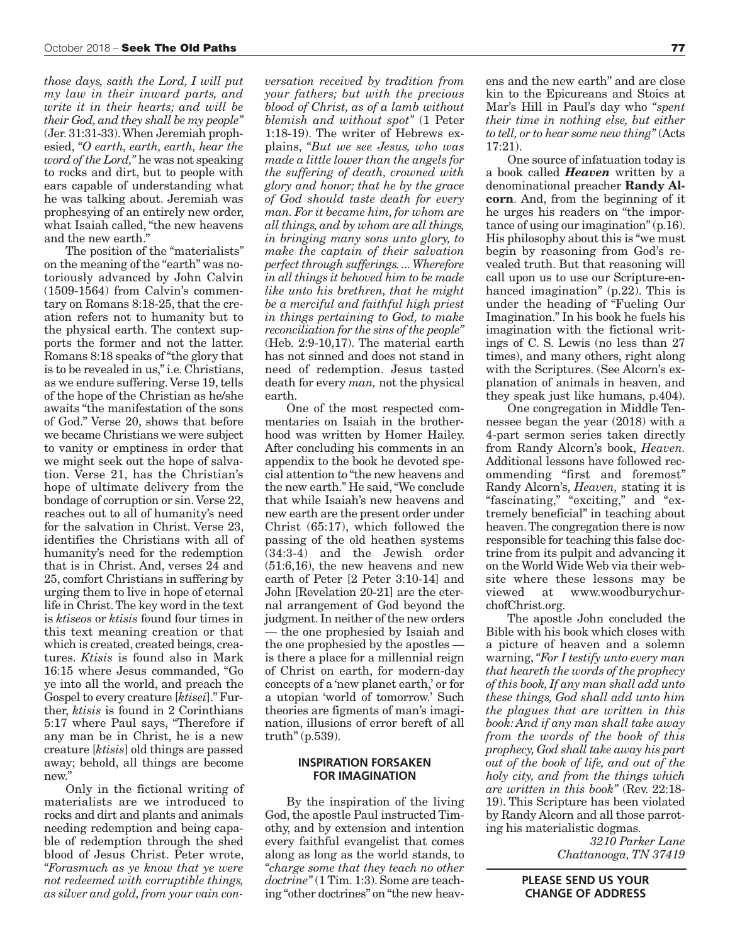*those days, saith the Lord, I will put my law in their inward parts, and write it in their hearts; and will be their God, and they shall be my people"* (Jer. 31:31-33). When Jeremiah prophesied, *"O earth, earth, earth, hear the word of the Lord,"* he was not speaking to rocks and dirt, but to people with ears capable of understanding what he was talking about. Jeremiah was prophesying of an entirely new order, what Isaiah called, "the new heavens and the new earth."

The position of the "materialists" on the meaning of the "earth" was notoriously advanced by John Calvin (1509-1564) from Calvin's commentary on Romans 8:18-25, that the creation refers not to humanity but to the physical earth. The context supports the former and not the latter. Romans 8:18 speaks of "the glory that is to be revealed in us," i.e. Christians, as we endure suffering. Verse 19, tells of the hope of the Christian as he/she awaits "the manifestation of the sons of God." Verse 20, shows that before we became Christians we were subject to vanity or emptiness in order that we might seek out the hope of salvation. Verse 21, has the Christian's hope of ultimate delivery from the bondage of corruption or sin. Verse 22, reaches out to all of humanity's need for the salvation in Christ. Verse 23, identifies the Christians with all of humanity's need for the redemption that is in Christ. And, verses 24 and 25, comfort Christians in suffering by urging them to live in hope of eternal life in Christ. The key word in the text is *ktiseos* or *ktisis* found four times in this text meaning creation or that which is created, created beings, creatures. *Ktisis* is found also in Mark 16:15 where Jesus commanded, "Go ye into all the world, and preach the Gospel to every creature [*ktisei*]." Further, *ktisis* is found in 2 Corinthians 5:17 where Paul says, "Therefore if any man be in Christ, he is a new creature [*ktisis*] old things are passed away; behold, all things are become new."

Only in the fictional writing of materialists are we introduced to rocks and dirt and plants and animals needing redemption and being capable of redemption through the shed blood of Jesus Christ. Peter wrote, *"Forasmuch as ye know that ye were not redeemed with corruptible things, as silver and gold, from your vain con-*

*versation received by tradition from your fathers; but with the precious blood of Christ, as of a lamb without blemish and without spot"* (1 Peter 1:18-19). The writer of Hebrews explains, *"But we see Jesus, who was made a little lower than the angels for the suffering of death, crowned with glory and honor; that he by the grace of God should taste death for every man. For it became him, for whom are all things, and by whom are all things, in bringing many sons unto glory, to make the captain of their salvation perfect through sufferings. ... Wherefore in all things it behoved him to be made like unto his brethren, that he might be a merciful and faithful high priest in things pertaining to God, to make reconciliation for the sins of the people"* (Heb. 2:9-10,17). The material earth has not sinned and does not stand in need of redemption. Jesus tasted death for every *man,* not the physical earth.

One of the most respected commentaries on Isaiah in the brotherhood was written by Homer Hailey. After concluding his comments in an appendix to the book he devoted special attention to "the new heavens and the new earth." He said, "We conclude that while Isaiah's new heavens and new earth are the present order under Christ (65:17), which followed the passing of the old heathen systems (34:3-4) and the Jewish order (51:6,16), the new heavens and new earth of Peter [2 Peter 3:10-14] and John [Revelation 20-21] are the eternal arrangement of God beyond the judgment. In neither of the new orders — the one prophesied by Isaiah and the one prophesied by the apostles is there a place for a millennial reign of Christ on earth, for modern-day concepts of a 'new planet earth,' or for a utopian 'world of tomorrow.' Such theories are figments of man's imagination, illusions of error bereft of all truth" (p.539).

#### **INSPIRATION FORSAKEN FOR IMAGINATION**

By the inspiration of the living God, the apostle Paul instructed Timothy, and by extension and intention every faithful evangelist that comes along as long as the world stands, to *"charge some that they teach no other doctrine"* (1 Tim. 1:3). Some are teaching "other doctrines" on "the new heav-

ens and the new earth" and are close kin to the Epicureans and Stoics at Mar's Hill in Paul's day who *"spent their time in nothing else, but either to tell, or to hear some new thing"* (Acts 17:21).

One source of infatuation today is a book called *Heaven* written by a denominational preacher **Randy Alcorn**. And, from the beginning of it he urges his readers on "the importance of using our imagination" (p.16). His philosophy about this is "we must begin by reasoning from God's revealed truth. But that reasoning will call upon us to use our Scripture-enhanced imagination" (p.22). This is under the heading of "Fueling Our Imagination." In his book he fuels his imagination with the fictional writings of C. S. Lewis (no less than 27 times), and many others, right along with the Scriptures. (See Alcorn's explanation of animals in heaven, and they speak just like humans, p.404).

One congregation in Middle Tennessee began the year (2018) with a 4-part sermon series taken directly from Randy Alcorn's book, *Heaven.* Additional lessons have followed recommending "first and foremost" Randy Alcorn's, *Heaven,* stating it is "fascinating," "exciting," and "extremely beneficial" in teaching about heaven. The congregation there is now responsible for teaching this false doctrine from its pulpit and advancing it on the World Wide Web via their website where these lessons may be [viewed at www.woodburychur](http://www.woodburychurchofchrist.org/content.cfm?id=213&start_row=31&total_count=757&category=All&speaker=All&series=All&sort=0)chofChrist.org.

The apostle John concluded the Bible with his book which closes with a picture of heaven and a solemn warning, *"For I testify unto every man that heareth the words of the prophecy of this book, If any man shall add unto these things, God shall add unto him the plagues that are written in this book: And if any man shall take away from the words of the book of this prophecy, God shall take away his part out of the book of life, and out of the holy city, and from the things which are written in this book"* (Rev. 22:18- 19). This Scripture has been violated by Randy Alcorn and all those parroting his materialistic dogmas.

> *3210 Parker Lane Chattanooga, TN 37419*

**PLEASE SEND US YOUR CHANGE OF ADDRESS**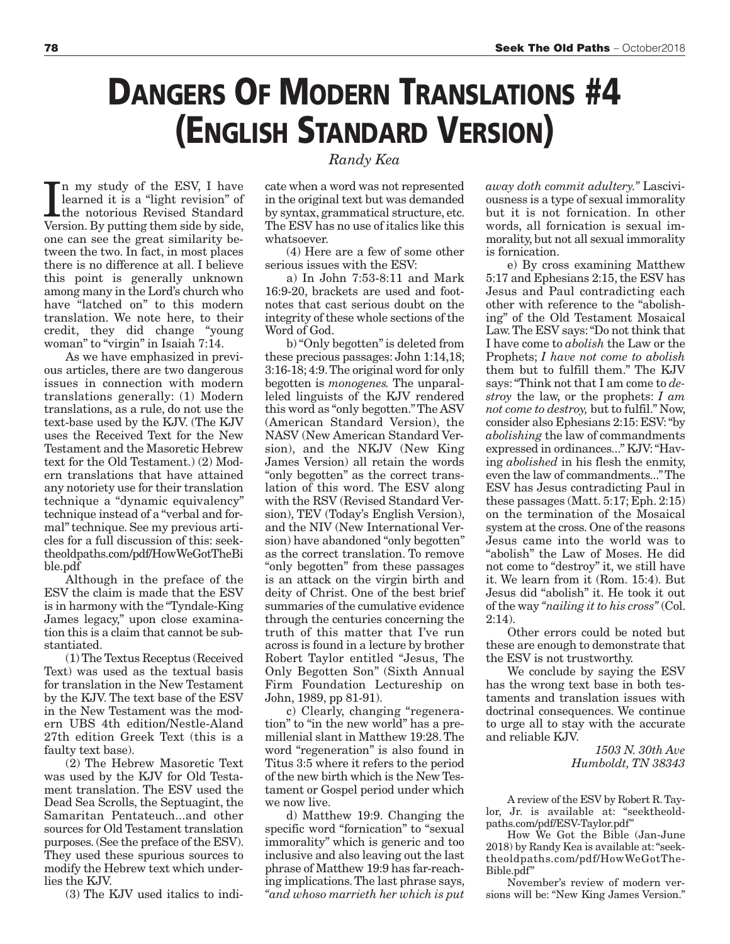## **DANGERS OF MODERN TRANSLATIONS #4 (ENGLISH STANDARD VERSION)**

In my study of the ESV, I have<br>learned it is a "light revision" of<br>the notorious Revised Standard<br>Version. By putting them side by side, n my study of the ESV, I have learned it is a "light revision" of the notorious Revised Standard one can see the great similarity between the two. In fact, in most places there is no difference at all. I believe this point is generally unknown among many in the Lord's church who have "latched on" to this modern translation. We note here, to their credit, they did change "young woman" to "virgin" in Isaiah 7:14.

As we have emphasized in previous articles, there are two dangerous issues in connection with modern translations generally: (1) Modern translations, as a rule, do not use the text-base used by the KJV. (The KJV uses the Received Text for the New Testament and the Masoretic Hebrew text for the Old Testament.) (2) Modern translations that have attained any notoriety use for their translation technique a "dynamic equivalency" technique instead of a "verbal and formal" technique. See my previous articles for a full discussion of this: seektheoldpaths.com/pdf/HowWeGotTheBi ble.pdf

Although in the preface of the ESV the claim is made that the ESV is in harmony with the "Tyndale-King James legacy," upon close examination this is a claim that cannot be substantiated.

(1) The Textus Receptus (Received Text) was used as the textual basis for translation in the New Testament by the KJV. The text base of the ESV in the New Testament was the modern UBS 4th edition/Nestle-Aland 27th edition Greek Text (this is a faulty text base).

(2) The Hebrew Masoretic Text was used by the KJV for Old Testament translation. The ESV used the Dead Sea Scrolls, the Septuagint, the Samaritan Pentateuch...and other sources for Old Testament translation purposes. (See the preface of the ESV). They used these spurious sources to modify the Hebrew text which underlies the KJV.

(3) The KJV used italics to indi-

*Randy Kea*

cate when a word was not represented in the original text but was demanded by syntax, grammatical structure, etc. The ESV has no use of italics like this whatsoever.

(4) Here are a few of some other serious issues with the ESV:

a) In John 7:53-8:11 and Mark 16:9-20, brackets are used and footnotes that cast serious doubt on the integrity of these whole sections of the Word of God.

b) "Only begotten" is deleted from these precious passages: John 1:14,18; 3:16-18; 4:9. The original word for only begotten is *monogenes.* The unparalleled linguists of the KJV rendered this word as "only begotten." The ASV (American Standard Version), the NASV (New American Standard Version), and the NKJV (New King James Version) all retain the words "only begotten" as the correct translation of this word. The ESV along with the RSV (Revised Standard Version), TEV (Today's English Version), and the NIV (New International Version) have abandoned "only begotten" as the correct translation. To remove "only begotten" from these passages is an attack on the virgin birth and deity of Christ. One of the best brief summaries of the cumulative evidence through the centuries concerning the truth of this matter that I've run across is found in a lecture by brother Robert Taylor entitled "Jesus, The Only Begotten Son" (Sixth Annual Firm Foundation Lectureship on John, 1989, pp 81-91).

c) Clearly, changing "regeneration" to "in the new world" has a premillenial slant in Matthew 19:28. The word "regeneration" is also found in Titus 3:5 where it refers to the period of the new birth which is the New Testament or Gospel period under which we now live.

d) Matthew 19:9. Changing the specific word "fornication" to "sexual immorality" which is generic and too inclusive and also leaving out the last phrase of Matthew 19:9 has far-reaching implications. The last phrase says, *"and whoso marrieth her which is put*

*away doth commit adultery."* Lasciviousness is a type of sexual immorality but it is not fornication. In other words, all fornication is sexual immorality, but not all sexual immorality is fornication.

e) By cross examining Matthew 5:17 and Ephesians 2:15, the ESV has Jesus and Paul contradicting each other with reference to the "abolishing" of the Old Testament Mosaical Law. The ESV says: "Do not think that I have come to *abolish* the Law or the Prophets; *I have not come to abolish* them but to fulfill them." The KJV says: "Think not that I am come to *destroy* the law, or the prophets: *I am not come to destroy,* but to fulfil." Now, consider also Ephesians 2:15: ESV: "by *abolishing* the law of commandments expressed in ordinances..." KJV: "Having *abolished* in his flesh the enmity, even the law of commandments..." The ESV has Jesus contradicting Paul in these passages (Matt. 5:17; Eph. 2:15) on the termination of the Mosaical system at the cross. One of the reasons Jesus came into the world was to "abolish" the Law of Moses. He did not come to "destroy" it, we still have it. We learn from it (Rom. 15:4). But Jesus did "abolish" it. He took it out of the way *"nailing it to his cross"* (Col.  $2:14$ ).

Other errors could be noted but these are enough to demonstrate that the ESV is not trustworthy.

We conclude by saying the ESV has the wrong text base in both testaments and translation issues with doctrinal consequences. We continue to urge all to stay with the accurate and reliable KJV.

> *1503 N. 30th Ave Humboldt, TN 38343*

A review of the ESV by Robert R. Taylor, Jr. is available at: "seektheoldpaths.com/pdf/ESV-Taylor.pdf"

How We Got the Bible (Jan-June 2018) by Randy Kea is available at: "seektheoldpaths.com/pdf/HowWeGotThe-Bible.pdf"

November's review of modern versions will be: "New King James Version."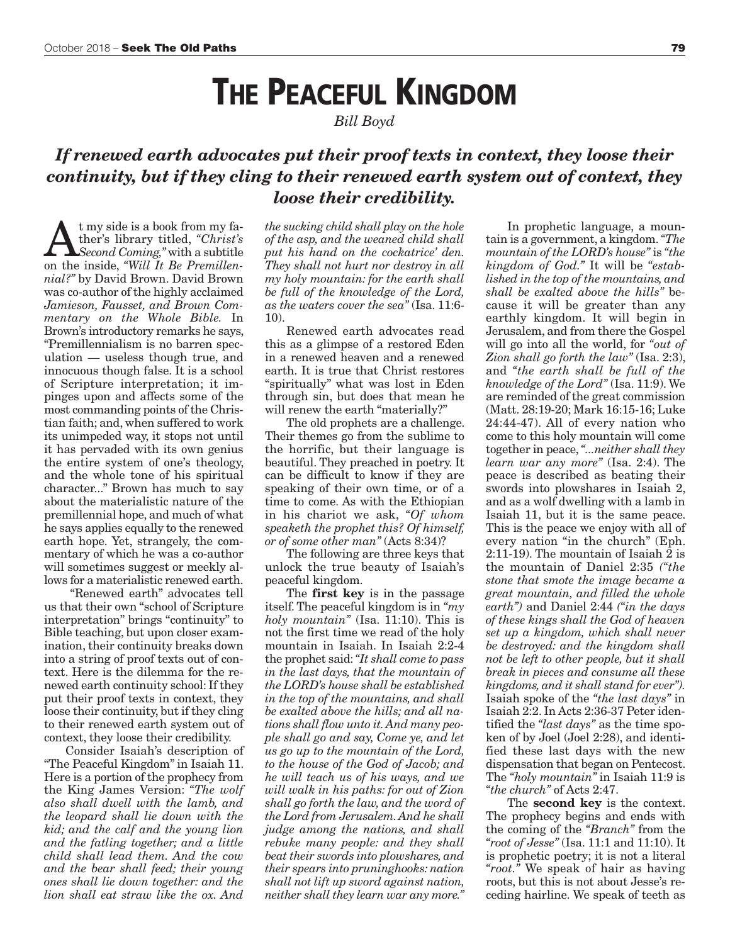### **THE PEACEFUL KINGDOM**

*Bill Boyd* 

### *If renewed earth advocates put their proof texts in context, they loose their continuity, but if they cling to their renewed earth system out of context, they loose their credibility.*

**A** t my side is a book from my fa-<br> *Second Coming,*" with a subtitle<br>
on the inside "*Will It Be Premillen*ther's library titled, *"Christ's* on the inside, *"Will It Be Premillennial?"* by David Brown. David Brown was co-author of the highly acclaimed *Jamieson, Fausset, and Brown Commentary on the Whole Bible.* In Brown's introductory remarks he says, "Premillennialism is no barren speculation — useless though true, and innocuous though false. It is a school of Scripture interpretation; it impinges upon and affects some of the most commanding points of the Christian faith; and, when suffered to work its unimpeded way, it stops not until it has pervaded with its own genius the entire system of one's theology, and the whole tone of his spiritual character..." Brown has much to say about the materialistic nature of the premillennial hope, and much of what he says applies equally to the renewed earth hope. Yet, strangely, the commentary of which he was a co-author will sometimes suggest or meekly allows for a materialistic renewed earth.

 "Renewed earth" advocates tell us that their own "school of Scripture interpretation" brings "continuity" to Bible teaching, but upon closer examination, their continuity breaks down into a string of proof texts out of context. Here is the dilemma for the renewed earth continuity school: If they put their proof texts in context, they loose their continuity, but if they cling to their renewed earth system out of context, they loose their credibility.

Consider Isaiah's description of "The Peaceful Kingdom" in Isaiah 11. Here is a portion of the prophecy from the King James Version: *"The wolf also shall dwell with the lamb, and the leopard shall lie down with the kid; and the calf and the young lion and the fatling together; and a little child shall lead them. And the cow and the bear shall feed; their young ones shall lie down together: and the lion shall eat straw like the ox. And*

*the sucking child shall play on the hole of the asp, and the weaned child shall put his hand on the cockatrice' den. They shall not hurt nor destroy in all my holy mountain: for the earth shall be full of the knowledge of the Lord, as the waters cover the sea"* (Isa. 11:6- 10).

Renewed earth advocates read this as a glimpse of a restored Eden in a renewed heaven and a renewed earth. It is true that Christ restores "spiritually" what was lost in Eden through sin, but does that mean he will renew the earth "materially?"

The old prophets are a challenge. Their themes go from the sublime to the horrific, but their language is beautiful. They preached in poetry. It can be difficult to know if they are speaking of their own time, or of a time to come. As with the Ethiopian in his chariot we ask, *"Of whom speaketh the prophet this? Of himself, or of some other man"* (Acts 8:34)?

The following are three keys that unlock the true beauty of Isaiah's peaceful kingdom.

The **first key** is in the passage itself. The peaceful kingdom is in *"my holy mountain"* (Isa. 11:10). This is not the first time we read of the holy mountain in Isaiah. In Isaiah 2:2-4 the prophet said: *"It shall come to pass in the last days, that the mountain of the LORD's house shall be established in the top of the mountains, and shall be exalted above the hills; and all nations shall flow unto it. And many people shall go and say, Come ye, and let us go up to the mountain of the Lord, to the house of the God of Jacob; and he will teach us of his ways, and we will walk in his paths: for out of Zion shall go forth the law, and the word of the Lord from Jerusalem. And he shall judge among the nations, and shall rebuke many people: and they shall beat their swords into plowshares, and their spears into pruninghooks: nation shall not lift up sword against nation, neither shall they learn war any more."*

In prophetic language, a mountain is a government, a kingdom. *"The mountain of the LORD's house"* is *"the kingdom of God."* It will be *"established in the top of the mountains, and shall be exalted above the hills"* because it will be greater than any earthly kingdom. It will begin in Jerusalem, and from there the Gospel will go into all the world, for *"out of Zion shall go forth the law"* (Isa. 2:3), and *"the earth shall be full of the knowledge of the Lord"* (Isa. 11:9). We are reminded of the great commission (Matt. 28:19-20; Mark 16:15-16; Luke 24:44-47). All of every nation who come to this holy mountain will come together in peace, *"...neither shall they learn war any more"* (Isa. 2:4). The peace is described as beating their swords into plowshares in Isaiah 2, and as a wolf dwelling with a lamb in Isaiah 11, but it is the same peace. This is the peace we enjoy with all of every nation "in the church" (Eph. 2:11-19). The mountain of Isaiah 2 is the mountain of Daniel 2:35 *("the stone that smote the image became a great mountain, and filled the whole earth")* and Daniel 2:44 *("in the days of these kings shall the God of heaven set up a kingdom, which shall never be destroyed: and the kingdom shall not be left to other people, but it shall break in pieces and consume all these kingdoms, and it shall stand for ever").* Isaiah spoke of the *"the last days"* in Isaiah 2:2. In Acts 2:36-37 Peter identified the *"last days"* as the time spoken of by Joel (Joel 2:28), and identified these last days with the new dispensation that began on Pentecost. The *"holy mountain"* in Isaiah 11:9 is *"the church"* of Acts 2:47.

The **second key** is the context. The prophecy begins and ends with the coming of the *"Branch"* from the *"root of Jesse"* (Isa. 11:1 and 11:10). It is prophetic poetry; it is not a literal *"root."* We speak of hair as having roots, but this is not about Jesse's receding hairline. We speak of teeth as